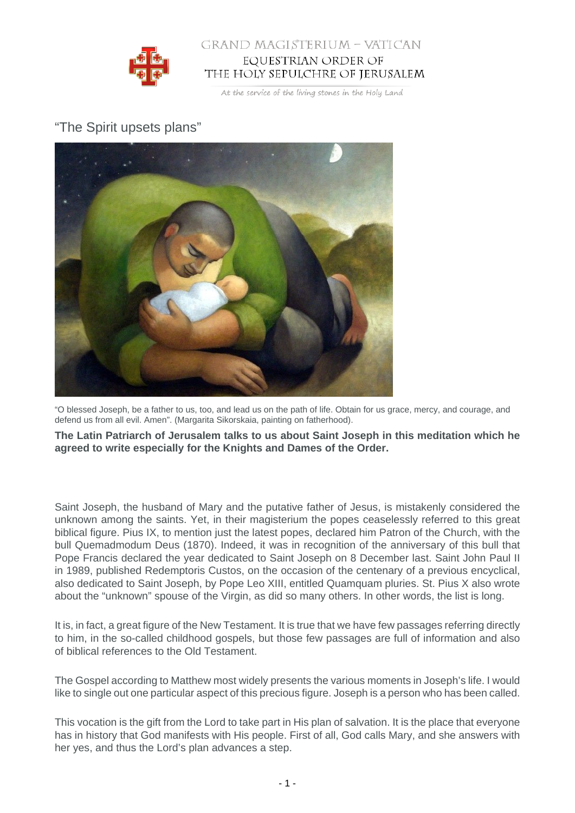

## GRAND MAGISTERIUM - VATICAN EQUESTRIAN ORDER OF THE HOLY SEPULCHRE OF JERUSALEM

At the service of the living stones in the Holy Land

## "The Spirit upsets plans"



"O blessed Joseph, be a father to us, too, and lead us on the path of life. Obtain for us grace, mercy, and courage, and defend us from all evil. Amen". (Margarita Sikorskaia, painting on fatherhood).

**The Latin Patriarch of Jerusalem talks to us about Saint Joseph in this meditation which he agreed to write especially for the Knights and Dames of the Order.**

Saint Joseph, the husband of Mary and the putative father of Jesus, is mistakenly considered the unknown among the saints. Yet, in their magisterium the popes ceaselessly referred to this great biblical figure. Pius IX, to mention just the latest popes, declared him Patron of the Church, with the bull Quemadmodum Deus (1870). Indeed, it was in recognition of the anniversary of this bull that Pope Francis declared the year dedicated to Saint Joseph on 8 December last. Saint John Paul II in 1989, published Redemptoris Custos, on the occasion of the centenary of a previous encyclical, also dedicated to Saint Joseph, by Pope Leo XIII, entitled Quamquam pluries. St. Pius X also wrote about the "unknown" spouse of the Virgin, as did so many others. In other words, the list is long.

It is, in fact, a great figure of the New Testament. It is true that we have few passages referring directly to him, in the so-called childhood gospels, but those few passages are full of information and also of biblical references to the Old Testament.

The Gospel according to Matthew most widely presents the various moments in Joseph's life. I would like to single out one particular aspect of this precious figure. Joseph is a person who has been called.

This vocation is the gift from the Lord to take part in His plan of salvation. It is the place that everyone has in history that God manifests with His people. First of all, God calls Mary, and she answers with her yes, and thus the Lord's plan advances a step.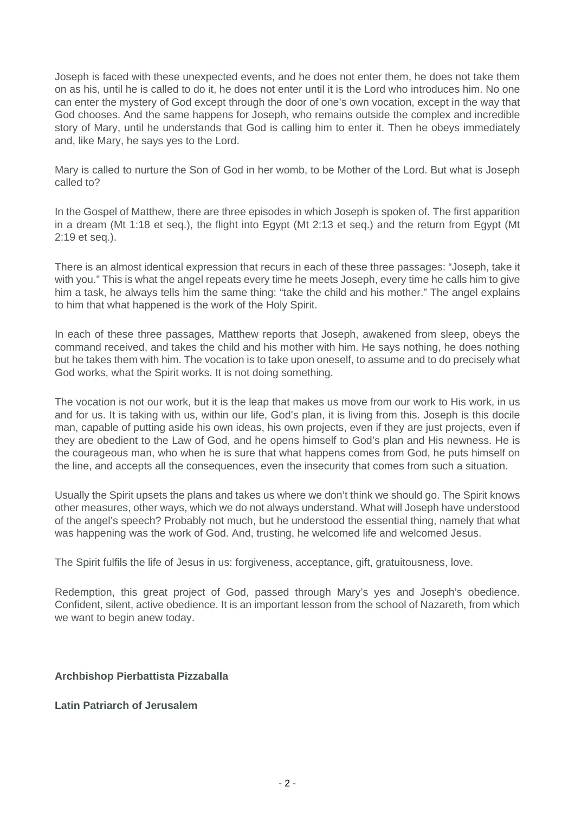Joseph is faced with these unexpected events, and he does not enter them, he does not take them on as his, until he is called to do it, he does not enter until it is the Lord who introduces him. No one can enter the mystery of God except through the door of one's own vocation, except in the way that God chooses. And the same happens for Joseph, who remains outside the complex and incredible story of Mary, until he understands that God is calling him to enter it. Then he obeys immediately and, like Mary, he says yes to the Lord.

Mary is called to nurture the Son of God in her womb, to be Mother of the Lord. But what is Joseph called to?

In the Gospel of Matthew, there are three episodes in which Joseph is spoken of. The first apparition in a dream (Mt 1:18 et seq.), the flight into Egypt (Mt 2:13 et seq.) and the return from Egypt (Mt 2:19 et seq.).

There is an almost identical expression that recurs in each of these three passages: "Joseph, take it with you." This is what the angel repeats every time he meets Joseph, every time he calls him to give him a task, he always tells him the same thing: "take the child and his mother." The angel explains to him that what happened is the work of the Holy Spirit.

In each of these three passages, Matthew reports that Joseph, awakened from sleep, obeys the command received, and takes the child and his mother with him. He says nothing, he does nothing but he takes them with him. The vocation is to take upon oneself, to assume and to do precisely what God works, what the Spirit works. It is not doing something.

The vocation is not our work, but it is the leap that makes us move from our work to His work, in us and for us. It is taking with us, within our life, God's plan, it is living from this. Joseph is this docile man, capable of putting aside his own ideas, his own projects, even if they are just projects, even if they are obedient to the Law of God, and he opens himself to God's plan and His newness. He is the courageous man, who when he is sure that what happens comes from God, he puts himself on the line, and accepts all the consequences, even the insecurity that comes from such a situation.

Usually the Spirit upsets the plans and takes us where we don't think we should go. The Spirit knows other measures, other ways, which we do not always understand. What will Joseph have understood of the angel's speech? Probably not much, but he understood the essential thing, namely that what was happening was the work of God. And, trusting, he welcomed life and welcomed Jesus.

The Spirit fulfils the life of Jesus in us: forgiveness, acceptance, gift, gratuitousness, love.

Redemption, this great project of God, passed through Mary's yes and Joseph's obedience. Confident, silent, active obedience. It is an important lesson from the school of Nazareth, from which we want to begin anew today.

## **Archbishop Pierbattista Pizzaballa**

**Latin Patriarch of Jerusalem**